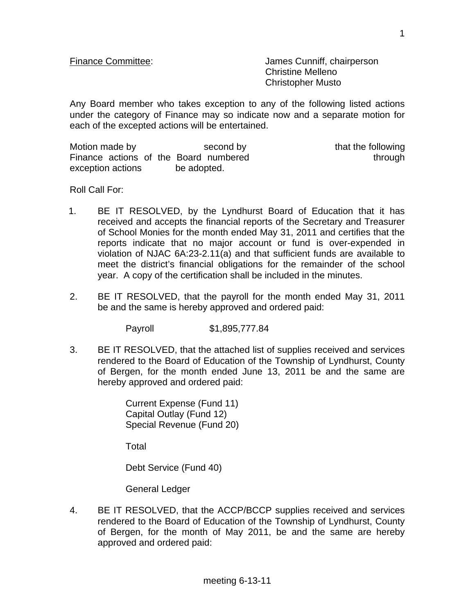Finance Committee: James Cunniff, chairperson Christine Melleno Christopher Musto

Any Board member who takes exception to any of the following listed actions under the category of Finance may so indicate now and a separate motion for each of the excepted actions will be entertained.

| Motion made by                        | second by   | that the following |
|---------------------------------------|-------------|--------------------|
| Finance actions of the Board numbered |             | through            |
| exception actions                     | be adopted. |                    |

Roll Call For:

- 1. BE IT RESOLVED, by the Lyndhurst Board of Education that it has received and accepts the financial reports of the Secretary and Treasurer of School Monies for the month ended May 31, 2011 and certifies that the reports indicate that no major account or fund is over-expended in violation of NJAC 6A:23-2.11(a) and that sufficient funds are available to meet the district's financial obligations for the remainder of the school year. A copy of the certification shall be included in the minutes.
- 2. BE IT RESOLVED, that the payroll for the month ended May 31, 2011 be and the same is hereby approved and ordered paid:

Payroll \$1,895,777.84

3. BE IT RESOLVED, that the attached list of supplies received and services rendered to the Board of Education of the Township of Lyndhurst, County of Bergen, for the month ended June 13, 2011 be and the same are hereby approved and ordered paid:

> Current Expense (Fund 11) Capital Outlay (Fund 12) Special Revenue (Fund 20)

Total

Debt Service (Fund 40)

General Ledger

4. BE IT RESOLVED, that the ACCP/BCCP supplies received and services rendered to the Board of Education of the Township of Lyndhurst, County of Bergen, for the month of May 2011, be and the same are hereby approved and ordered paid: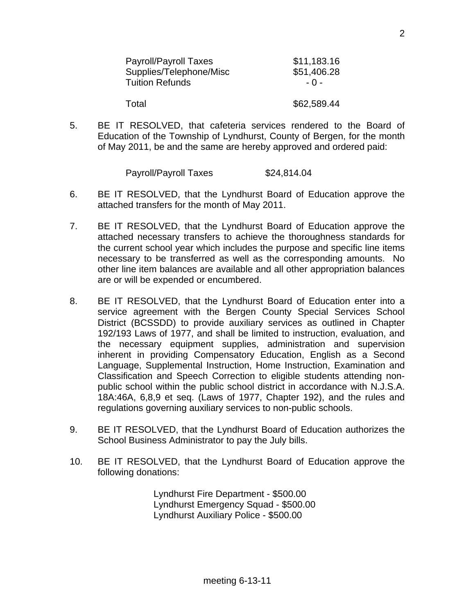| <b>Payroll/Payroll Taxes</b> | \$11,183.16 |
|------------------------------|-------------|
| Supplies/Telephone/Misc      | \$51,406.28 |
| <b>Tuition Refunds</b>       | - 0 -       |
| Total                        | \$62,589.44 |

5. BE IT RESOLVED, that cafeteria services rendered to the Board of Education of the Township of Lyndhurst, County of Bergen, for the month of May 2011, be and the same are hereby approved and ordered paid:

| Payroll/Payroll Taxes | \$24,814.04 |
|-----------------------|-------------|
|-----------------------|-------------|

- 6. BE IT RESOLVED, that the Lyndhurst Board of Education approve the attached transfers for the month of May 2011.
- 7. BE IT RESOLVED, that the Lyndhurst Board of Education approve the attached necessary transfers to achieve the thoroughness standards for the current school year which includes the purpose and specific line items necessary to be transferred as well as the corresponding amounts. No other line item balances are available and all other appropriation balances are or will be expended or encumbered.
- 8. BE IT RESOLVED, that the Lyndhurst Board of Education enter into a service agreement with the Bergen County Special Services School District (BCSSDD) to provide auxiliary services as outlined in Chapter 192/193 Laws of 1977, and shall be limited to instruction, evaluation, and the necessary equipment supplies, administration and supervision inherent in providing Compensatory Education, English as a Second Language, Supplemental Instruction, Home Instruction, Examination and Classification and Speech Correction to eligible students attending nonpublic school within the public school district in accordance with N.J.S.A. 18A:46A, 6,8,9 et seq. (Laws of 1977, Chapter 192), and the rules and regulations governing auxiliary services to non-public schools.
- 9. BE IT RESOLVED, that the Lyndhurst Board of Education authorizes the School Business Administrator to pay the July bills.
- 10. BE IT RESOLVED, that the Lyndhurst Board of Education approve the following donations:

 Lyndhurst Fire Department - \$500.00 Lyndhurst Emergency Squad - \$500.00 Lyndhurst Auxiliary Police - \$500.00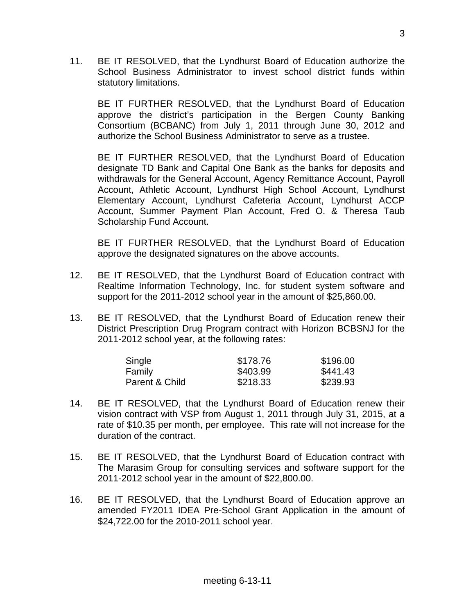11. BE IT RESOLVED, that the Lyndhurst Board of Education authorize the School Business Administrator to invest school district funds within statutory limitations.

 BE IT FURTHER RESOLVED, that the Lyndhurst Board of Education approve the district's participation in the Bergen County Banking Consortium (BCBANC) from July 1, 2011 through June 30, 2012 and authorize the School Business Administrator to serve as a trustee.

 BE IT FURTHER RESOLVED, that the Lyndhurst Board of Education designate TD Bank and Capital One Bank as the banks for deposits and withdrawals for the General Account, Agency Remittance Account, Payroll Account, Athletic Account, Lyndhurst High School Account, Lyndhurst Elementary Account, Lyndhurst Cafeteria Account, Lyndhurst ACCP Account, Summer Payment Plan Account, Fred O. & Theresa Taub Scholarship Fund Account.

 BE IT FURTHER RESOLVED, that the Lyndhurst Board of Education approve the designated signatures on the above accounts.

- 12. BE IT RESOLVED, that the Lyndhurst Board of Education contract with Realtime Information Technology, Inc. for student system software and support for the 2011-2012 school year in the amount of \$25,860.00.
- 13. BE IT RESOLVED, that the Lyndhurst Board of Education renew their District Prescription Drug Program contract with Horizon BCBSNJ for the 2011-2012 school year, at the following rates:

| Single         | \$178.76 | \$196.00 |
|----------------|----------|----------|
| Family         | \$403.99 | \$441.43 |
| Parent & Child | \$218.33 | \$239.93 |

- 14. BE IT RESOLVED, that the Lyndhurst Board of Education renew their vision contract with VSP from August 1, 2011 through July 31, 2015, at a rate of \$10.35 per month, per employee. This rate will not increase for the duration of the contract.
- 15. BE IT RESOLVED, that the Lyndhurst Board of Education contract with The Marasim Group for consulting services and software support for the 2011-2012 school year in the amount of \$22,800.00.
- 16. BE IT RESOLVED, that the Lyndhurst Board of Education approve an amended FY2011 IDEA Pre-School Grant Application in the amount of \$24,722.00 for the 2010-2011 school year.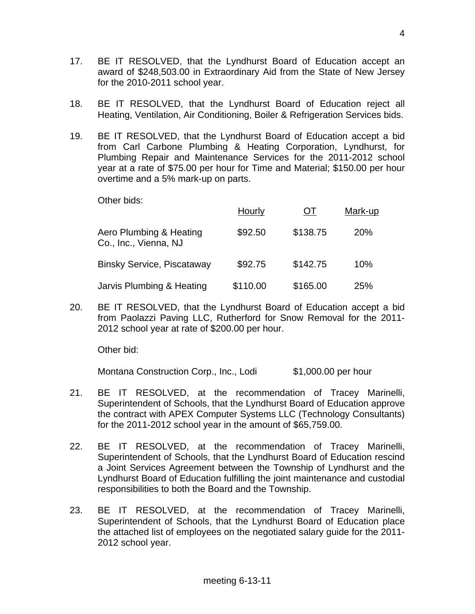- 17. BE IT RESOLVED, that the Lyndhurst Board of Education accept an award of \$248,503.00 in Extraordinary Aid from the State of New Jersey for the 2010-2011 school year.
- 18. BE IT RESOLVED, that the Lyndhurst Board of Education reject all Heating, Ventilation, Air Conditioning, Boiler & Refrigeration Services bids.
- 19. BE IT RESOLVED, that the Lyndhurst Board of Education accept a bid from Carl Carbone Plumbing & Heating Corporation, Lyndhurst, for Plumbing Repair and Maintenance Services for the 2011-2012 school year at a rate of \$75.00 per hour for Time and Material; \$150.00 per hour overtime and a 5% mark-up on parts.

Other bids:

|                                                  | Hourly   | UT.      | Mark-up    |
|--------------------------------------------------|----------|----------|------------|
| Aero Plumbing & Heating<br>Co., Inc., Vienna, NJ | \$92.50  | \$138.75 | <b>20%</b> |
| <b>Binsky Service, Piscataway</b>                | \$92.75  | \$142.75 | 10%        |
| Jarvis Plumbing & Heating                        | \$110.00 | \$165.00 | 25%        |

20. BE IT RESOLVED, that the Lyndhurst Board of Education accept a bid from Paolazzi Paving LLC, Rutherford for Snow Removal for the 2011- 2012 school year at rate of \$200.00 per hour.

Other bid:

Montana Construction Corp., Inc., Lodi \$1,000.00 per hour

- 21. BE IT RESOLVED, at the recommendation of Tracey Marinelli, Superintendent of Schools, that the Lyndhurst Board of Education approve the contract with APEX Computer Systems LLC (Technology Consultants) for the 2011-2012 school year in the amount of \$65,759.00.
- 22. BE IT RESOLVED, at the recommendation of Tracey Marinelli, Superintendent of Schools, that the Lyndhurst Board of Education rescind a Joint Services Agreement between the Township of Lyndhurst and the Lyndhurst Board of Education fulfilling the joint maintenance and custodial responsibilities to both the Board and the Township.
- 23. BE IT RESOLVED, at the recommendation of Tracey Marinelli, Superintendent of Schools, that the Lyndhurst Board of Education place the attached list of employees on the negotiated salary guide for the 2011- 2012 school year.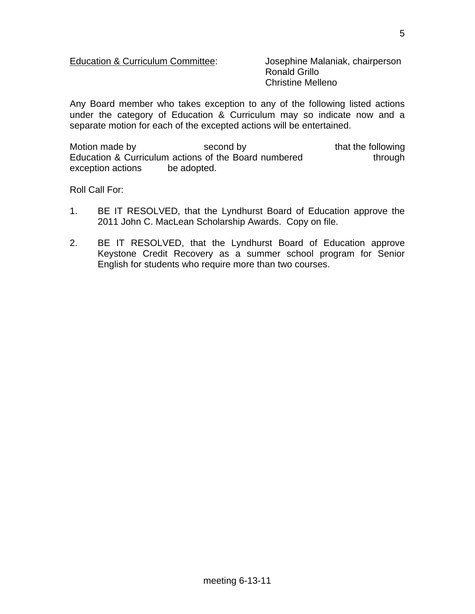#### Education & Curriculum Committee: Josephine Malaniak, chairperson

 Ronald Grillo Christine Melleno

Any Board member who takes exception to any of the following listed actions under the category of Education & Curriculum may so indicate now and a separate motion for each of the excepted actions will be entertained.

Motion made by second by that the following Education & Curriculum actions of the Board numbered through exception actions be adopted.

Roll Call For:

- 1. BE IT RESOLVED, that the Lyndhurst Board of Education approve the 2011 John C. MacLean Scholarship Awards. Copy on file.
- 2. BE IT RESOLVED, that the Lyndhurst Board of Education approve Keystone Credit Recovery as a summer school program for Senior English for students who require more than two courses.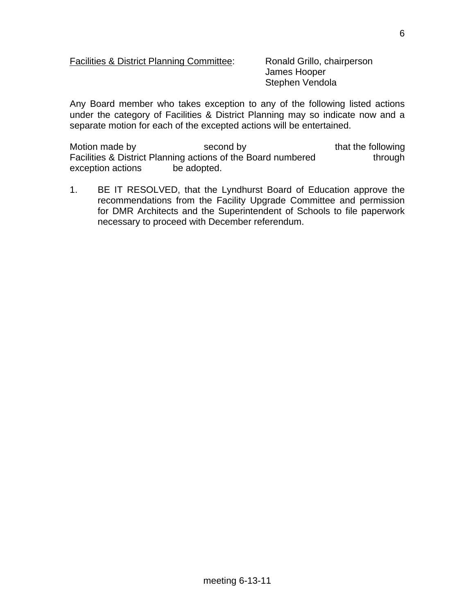#### Facilities & District Planning Committee: Ronald Grillo, chairperson

 James Hooper Stephen Vendola

Any Board member who takes exception to any of the following listed actions under the category of Facilities & District Planning may so indicate now and a separate motion for each of the excepted actions will be entertained.

Motion made by second by that the following Facilities & District Planning actions of the Board numbered through exception actions be adopted.

1. BE IT RESOLVED, that the Lyndhurst Board of Education approve the recommendations from the Facility Upgrade Committee and permission for DMR Architects and the Superintendent of Schools to file paperwork necessary to proceed with December referendum.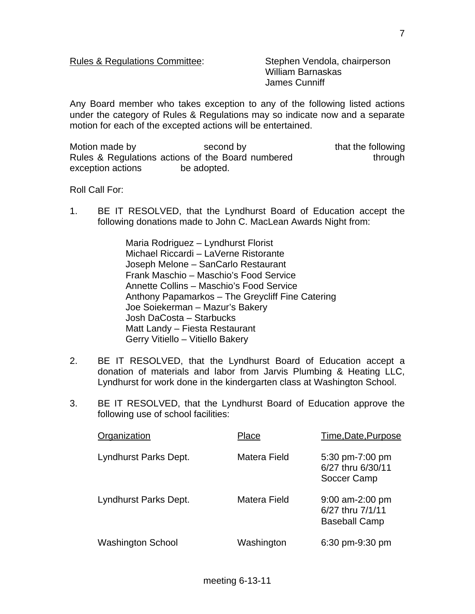#### Rules & Regulations Committee: Stephen Vendola, chairperson

 William Barnaskas James Cunniff

Any Board member who takes exception to any of the following listed actions under the category of Rules & Regulations may so indicate now and a separate motion for each of the excepted actions will be entertained.

Motion made by second by that the following Rules & Regulations actions of the Board numbered through exception actions be adopted.

Roll Call For:

1. BE IT RESOLVED, that the Lyndhurst Board of Education accept the following donations made to John C. MacLean Awards Night from:

> Maria Rodriguez – Lyndhurst Florist Michael Riccardi – LaVerne Ristorante Joseph Melone – SanCarlo Restaurant Frank Maschio – Maschio's Food Service Annette Collins – Maschio's Food Service Anthony Papamarkos – The Greycliff Fine Catering Joe Soiekerman – Mazur's Bakery Josh DaCosta – Starbucks Matt Landy – Fiesta Restaurant Gerry Vitiello – Vitiello Bakery

- 2. BE IT RESOLVED, that the Lyndhurst Board of Education accept a donation of materials and labor from Jarvis Plumbing & Heating LLC, Lyndhurst for work done in the kindergarten class at Washington School.
- 3. BE IT RESOLVED, that the Lyndhurst Board of Education approve the following use of school facilities:

| Organization             | Place        | Time, Date, Purpose                                           |
|--------------------------|--------------|---------------------------------------------------------------|
| Lyndhurst Parks Dept.    | Matera Field | 5:30 pm-7:00 pm<br>6/27 thru 6/30/11<br>Soccer Camp           |
| Lyndhurst Parks Dept.    | Matera Field | $9:00$ am-2:00 pm<br>6/27 thru 7/1/11<br><b>Baseball Camp</b> |
| <b>Washington School</b> | Washington   | 6:30 pm-9:30 pm                                               |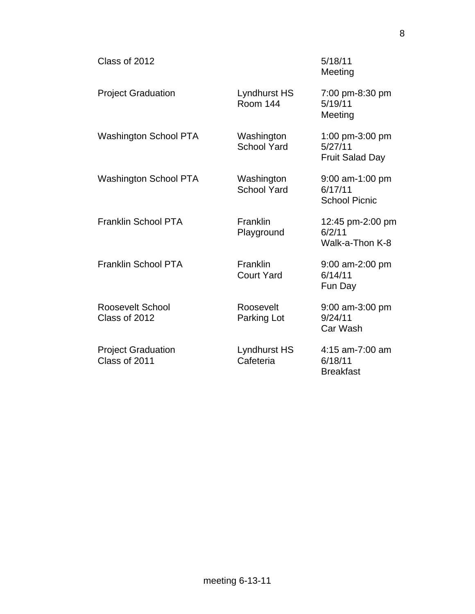| Class of 2012                              |                                  | 5/18/11<br>Meeting                                   |
|--------------------------------------------|----------------------------------|------------------------------------------------------|
| <b>Project Graduation</b>                  | Lyndhurst HS<br><b>Room 144</b>  | 7:00 pm-8:30 pm<br>5/19/11<br>Meeting                |
| <b>Washington School PTA</b>               | Washington<br><b>School Yard</b> | 1:00 pm-3:00 pm<br>5/27/11<br><b>Fruit Salad Day</b> |
| <b>Washington School PTA</b>               | Washington<br><b>School Yard</b> | 9:00 am-1:00 pm<br>6/17/11<br><b>School Picnic</b>   |
| <b>Franklin School PTA</b>                 | Franklin<br>Playground           | 12:45 pm-2:00 pm<br>6/2/11<br>Walk-a-Thon K-8        |
| <b>Franklin School PTA</b>                 | Franklin<br><b>Court Yard</b>    | 9:00 am-2:00 pm<br>6/14/11<br>Fun Day                |
| <b>Roosevelt School</b><br>Class of 2012   | Roosevelt<br>Parking Lot         | 9:00 am-3:00 pm<br>9/24/11<br>Car Wash               |
| <b>Project Graduation</b><br>Class of 2011 | Lyndhurst HS<br>Cafeteria        | 4:15 am-7:00 am<br>6/18/11<br><b>Breakfast</b>       |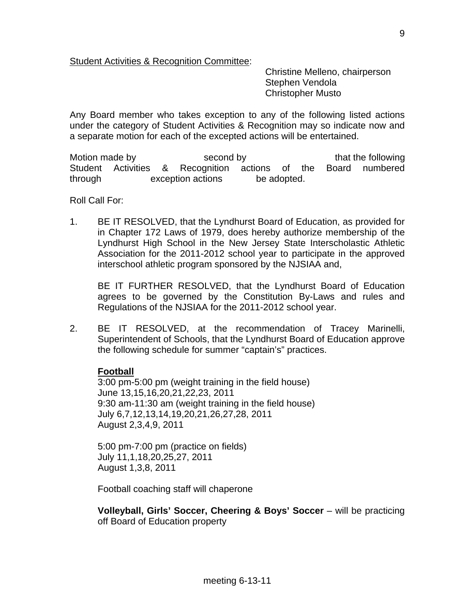Student Activities & Recognition Committee:

 Christine Melleno, chairperson Stephen Vendola Christopher Musto

Any Board member who takes exception to any of the following listed actions under the category of Student Activities & Recognition may so indicate now and a separate motion for each of the excepted actions will be entertained.

Motion made by second by that the following Student Activities & Recognition actions of the Board numbered through exception actions be adopted.

Roll Call For:

1. BE IT RESOLVED, that the Lyndhurst Board of Education, as provided for in Chapter 172 Laws of 1979, does hereby authorize membership of the Lyndhurst High School in the New Jersey State Interscholastic Athletic Association for the 2011-2012 school year to participate in the approved interschool athletic program sponsored by the NJSIAA and,

 BE IT FURTHER RESOLVED, that the Lyndhurst Board of Education agrees to be governed by the Constitution By-Laws and rules and Regulations of the NJSIAA for the 2011-2012 school year.

2. BE IT RESOLVED, at the recommendation of Tracey Marinelli, Superintendent of Schools, that the Lyndhurst Board of Education approve the following schedule for summer "captain's" practices.

### **Football**

 3:00 pm-5:00 pm (weight training in the field house) June 13,15,16,20,21,22,23, 2011 9:30 am-11:30 am (weight training in the field house) July 6,7,12,13,14,19,20,21,26,27,28, 2011 August 2,3,4,9, 2011

 5:00 pm-7:00 pm (practice on fields) July 11,1,18,20,25,27, 2011 August 1,3,8, 2011

Football coaching staff will chaperone

**Volleyball, Girls' Soccer, Cheering & Boys' Soccer** – will be practicing off Board of Education property